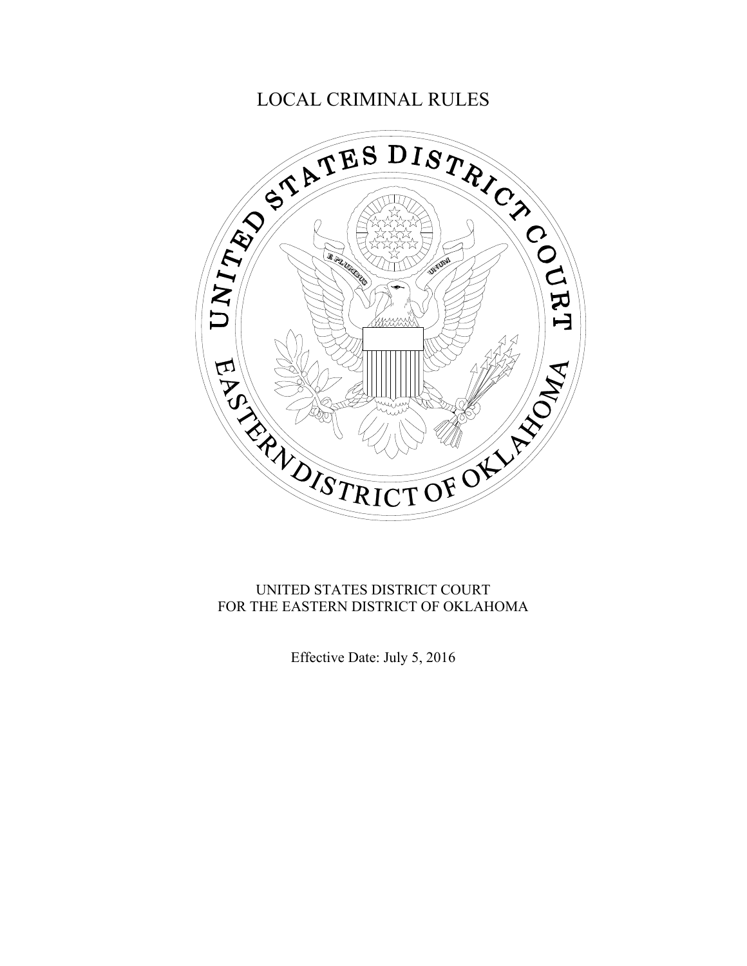

### UNITED STATES DISTRICT COURT FOR THE EASTERN DISTRICT OF OKLAHOMA

Effective Date: July 5, 2016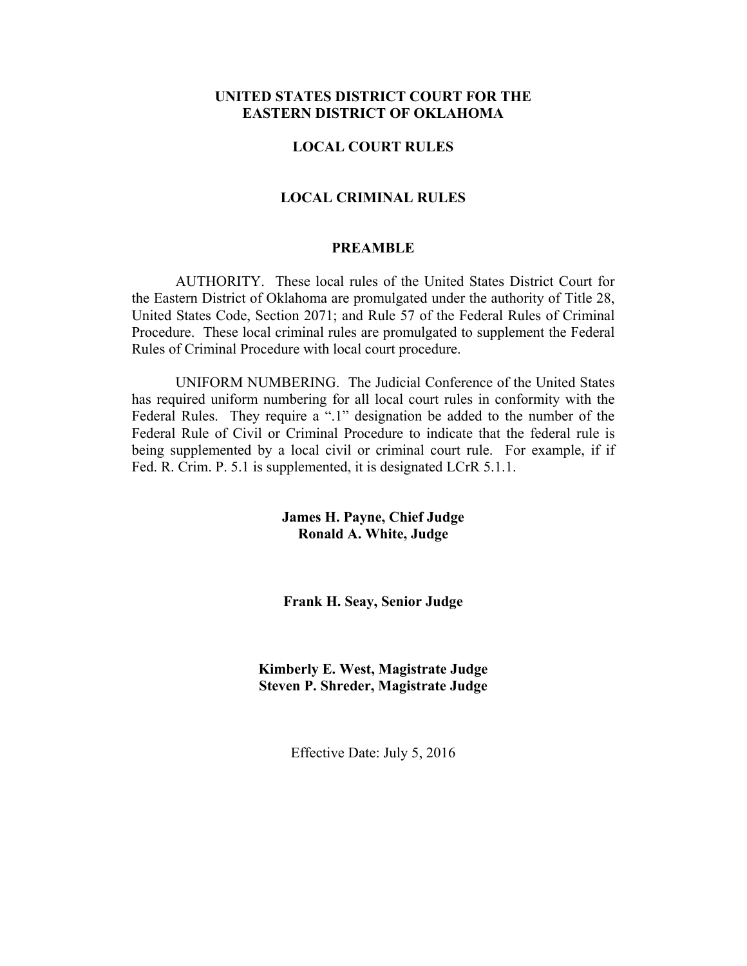### **UNITED STATES DISTRICT COURT FOR THE EASTERN DISTRICT OF OKLAHOMA**

#### **LOCAL COURT RULES**

#### **LOCAL CRIMINAL RULES**

#### **PREAMBLE**

 AUTHORITY. These local rules of the United States District Court for the Eastern District of Oklahoma are promulgated under the authority of Title 28, United States Code, Section 2071; and Rule 57 of the Federal Rules of Criminal Procedure. These local criminal rules are promulgated to supplement the Federal Rules of Criminal Procedure with local court procedure.

 UNIFORM NUMBERING. The Judicial Conference of the United States has required uniform numbering for all local court rules in conformity with the Federal Rules. They require a ".1" designation be added to the number of the Federal Rule of Civil or Criminal Procedure to indicate that the federal rule is being supplemented by a local civil or criminal court rule. For example, if if Fed. R. Crim. P. 5.1 is supplemented, it is designated LCrR 5.1.1.

> **James H. Payne, Chief Judge Ronald A. White, Judge**

> **Frank H. Seay, Senior Judge**

**Kimberly E. West, Magistrate Judge Steven P. Shreder, Magistrate Judge** 

Effective Date: July 5, 2016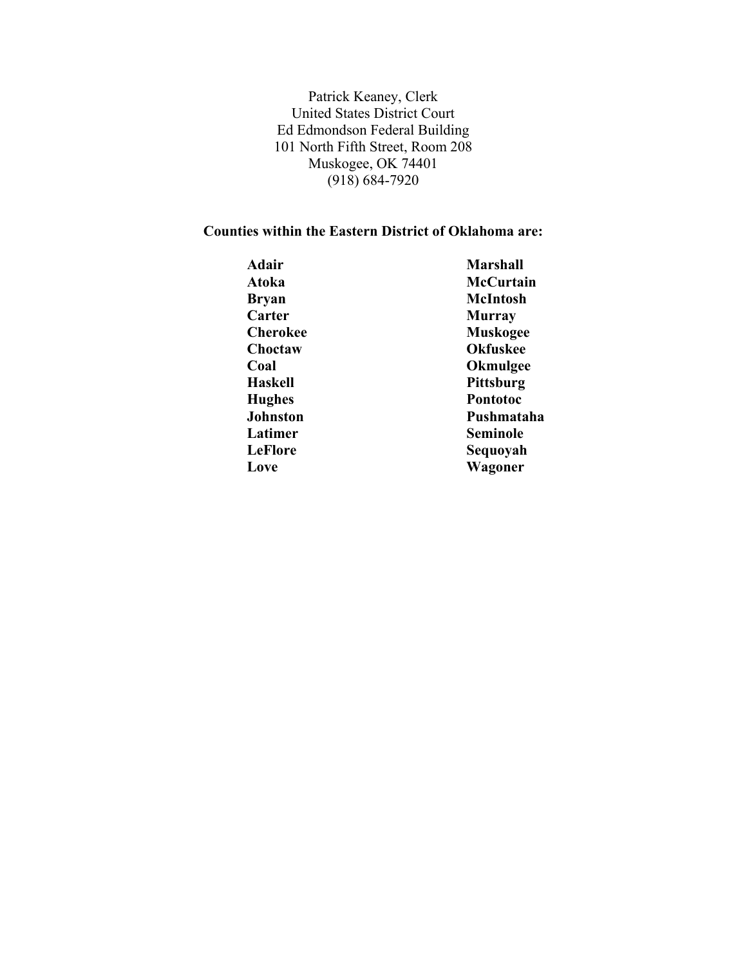Patrick Keaney, Clerk United States District Court Ed Edmondson Federal Building 101 North Fifth Street, Room 208 Muskogee, OK 74401 (918) 684-7920

### **Counties within the Eastern District of Oklahoma are:**

| <b>Marshall</b> |
|-----------------|
| McCurtain       |
| McIntosh        |
| <b>Murray</b>   |
| <b>Muskogee</b> |
| <b>Okfuskee</b> |
| <b>Okmulgee</b> |
| Pittsburg       |
| Pontotoc        |
| Pushmataha      |
| <b>Seminole</b> |
| Sequoyah        |
| Wagoner         |
|                 |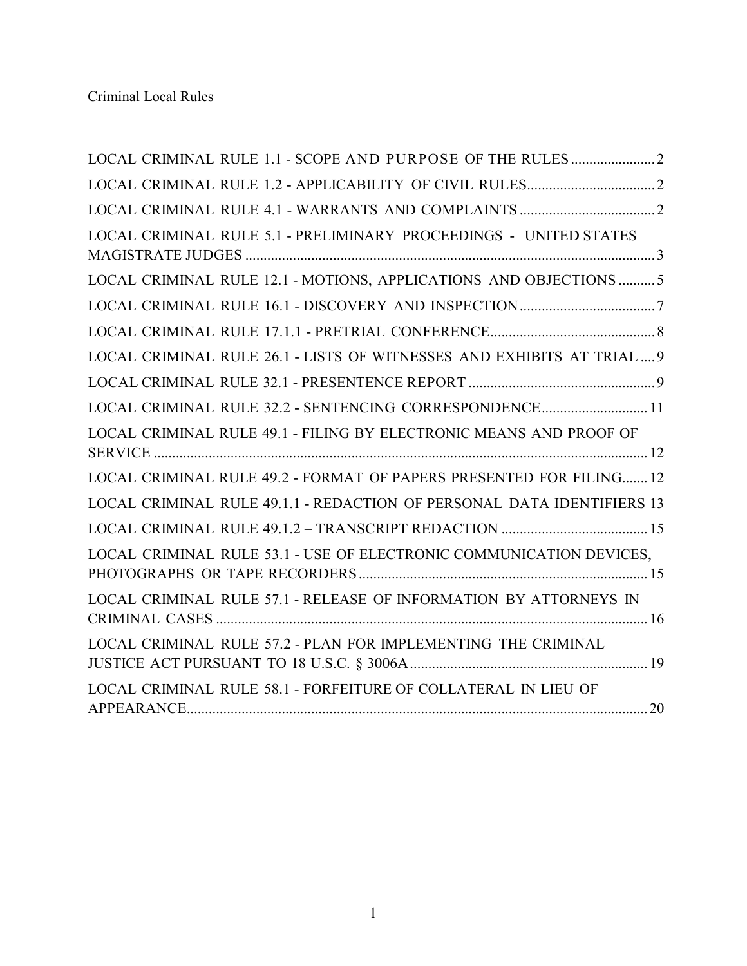| LOCAL CRIMINAL RULE 5.1 - PRELIMINARY PROCEEDINGS - UNITED STATES      |
|------------------------------------------------------------------------|
| LOCAL CRIMINAL RULE 12.1 - MOTIONS, APPLICATIONS AND OBJECTIONS  5     |
|                                                                        |
|                                                                        |
| LOCAL CRIMINAL RULE 26.1 - LISTS OF WITNESSES AND EXHIBITS AT TRIAL 9  |
|                                                                        |
| LOCAL CRIMINAL RULE 32.2 - SENTENCING CORRESPONDENCE 11                |
| LOCAL CRIMINAL RULE 49.1 - FILING BY ELECTRONIC MEANS AND PROOF OF     |
| LOCAL CRIMINAL RULE 49.2 - FORMAT OF PAPERS PRESENTED FOR FILING 12    |
| LOCAL CRIMINAL RULE 49.1.1 - REDACTION OF PERSONAL DATA IDENTIFIERS 13 |
|                                                                        |
| LOCAL CRIMINAL RULE 53.1 - USE OF ELECTRONIC COMMUNICATION DEVICES,    |
| LOCAL CRIMINAL RULE 57.1 - RELEASE OF INFORMATION BY ATTORNEYS IN      |
| LOCAL CRIMINAL RULE 57.2 - PLAN FOR IMPLEMENTING THE CRIMINAL          |
| LOCAL CRIMINAL RULE 58.1 - FORFEITURE OF COLLATERAL IN LIEU OF         |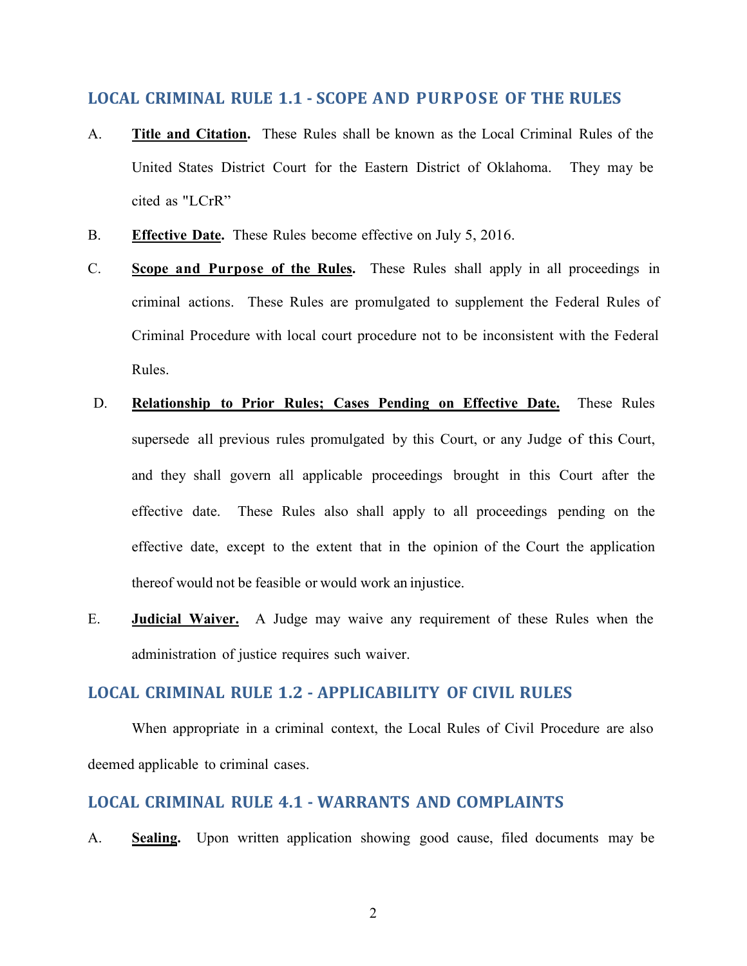### <span id="page-4-0"></span>**LOCAL CRIMINAL RULE 1.1 - SCOPE AND PURPOSE OF THE RULES**

- A. **Title and Citation.** These Rules shall be known as the Local Criminal Rules of the United States District Court for the Eastern District of Oklahoma. They may be cited as "LCrR"
- B. **Effective Date.** These Rules become effective on July 5, 2016.
- C. **Scope and Purpose of the Rules.** These Rules shall apply in all proceedings in criminal actions. These Rules are promulgated to supplement the Federal Rules of Criminal Procedure with local court procedure not to be inconsistent with the Federal Rules.
- D. **Relationship to Prior Rules; Cases Pending on Effective Date.** These Rules supersede all previous rules promulgated by this Court, or any Judge of this Court, and they shall govern all applicable proceedings brought in this Court after the effective date. These Rules also shall apply to all proceedings pending on the effective date, except to the extent that in the opinion of the Court the application thereof would not be feasible or would work an injustice.
- E. **Judicial Waiver.** A Judge may waive any requirement of these Rules when the administration of justice requires such waiver.

### <span id="page-4-1"></span>**LOCAL CRIMINAL RULE 1.2 - APPLICABILITY OF CIVIL RULES**

When appropriate in a criminal context, the Local Rules of Civil Procedure are also deemed applicable to criminal cases.

### <span id="page-4-2"></span>**LOCAL CRIMINAL RULE 4.1 - WARRANTS AND COMPLAINTS**

A. **Sealing.** Upon written application showing good cause, filed documents may be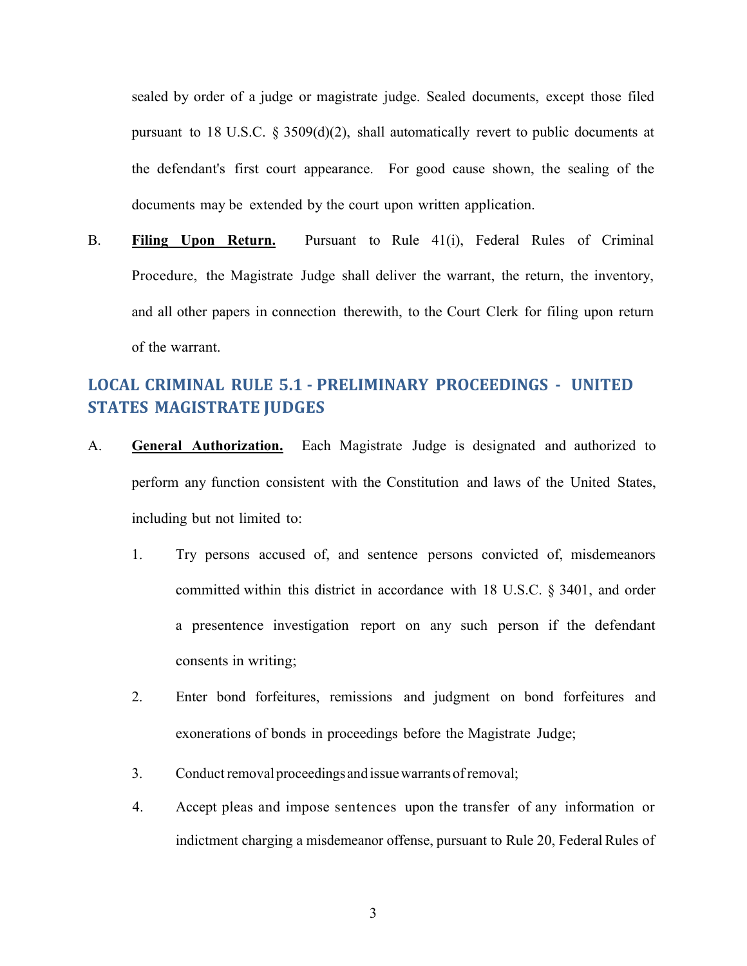sealed by order of a judge or magistrate judge. Sealed documents, except those filed pursuant to 18 U.S.C. § 3509(d)(2), shall automatically revert to public documents at the defendant's first court appearance. For good cause shown, the sealing of the documents may be extended by the court upon written application.

B. **Filing Upon Return.** Pursuant to Rule 41(i), Federal Rules of Criminal Procedure, the Magistrate Judge shall deliver the warrant, the return, the inventory, and all other papers in connection therewith, to the Court Clerk for filing upon return of the warrant.

# <span id="page-5-0"></span>**LOCAL CRIMINAL RULE 5.1 - PRELIMINARY PROCEEDINGS - UNITED STATES MAGISTRATE JUDGES**

- A. **General Authorization.** Each Magistrate Judge is designated and authorized to perform any function consistent with the Constitution and laws of the United States, including but not limited to:
	- 1. Try persons accused of, and sentence persons convicted of, misdemeanors committed within this district in accordance with 18 U.S.C. § 3401, and order a presentence investigation report on any such person if the defendant consents in writing;
	- 2. Enter bond forfeitures, remissions and judgment on bond forfeitures and exonerations of bonds in proceedings before the Magistrate Judge;
	- 3. Conduct removal proceedings and issue warrants of removal;
	- 4. Accept pleas and impose sentences upon the transfer of any information or indictment charging a misdemeanor offense, pursuant to Rule 20, Federal Rules of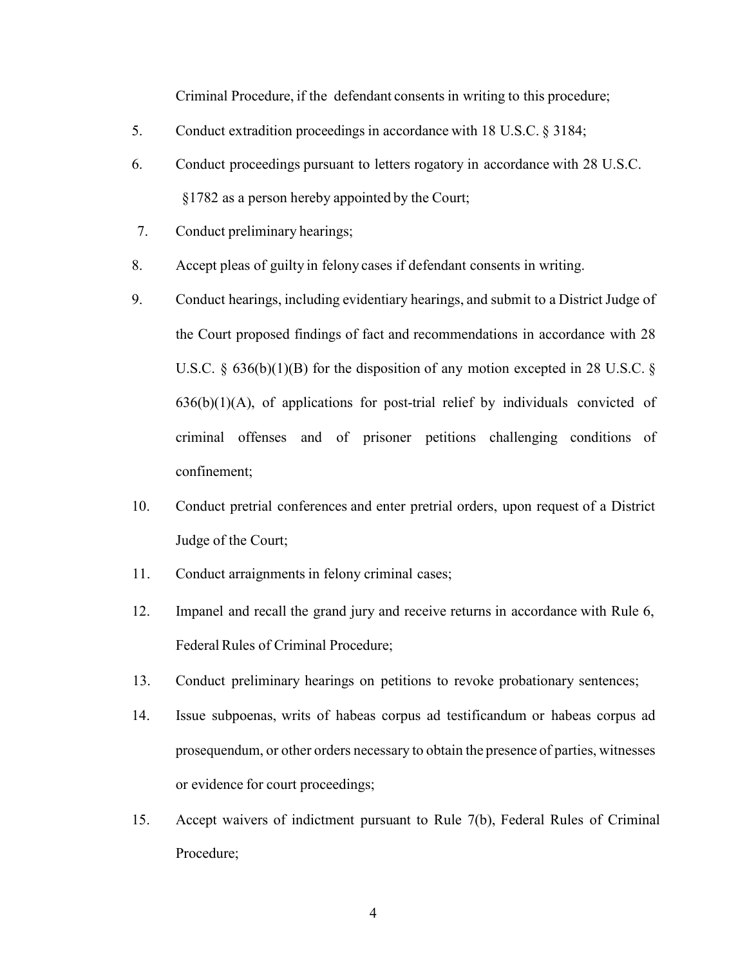Criminal Procedure, if the defendant consents in writing to this procedure;

- 5. Conduct extradition proceedings in accordance with 18 U.S.C. § 3184;
- 6. Conduct proceedings pursuant to letters rogatory in accordance with 28 U.S.C. §1782 as a person hereby appointed by the Court;
- 7. Conduct preliminary hearings;
- 8. Accept pleas of guilty in felony cases if defendant consents in writing.
- 9. Conduct hearings, including evidentiary hearings, and submit to a District Judge of the Court proposed findings of fact and recommendations in accordance with 28 U.S.C. § 636(b)(1)(B) for the disposition of any motion excepted in 28 U.S.C. §  $636(b)(1)(A)$ , of applications for post-trial relief by individuals convicted of criminal offenses and of prisoner petitions challenging conditions of confinement;
- 10. Conduct pretrial conferences and enter pretrial orders, upon request of a District Judge of the Court;
- 11. Conduct arraignments in felony criminal cases;
- 12. Impanel and recall the grand jury and receive returns in accordance with Rule 6, Federal Rules of Criminal Procedure;
- 13. Conduct preliminary hearings on petitions to revoke probationary sentences;
- 14. Issue subpoenas, writs of habeas corpus ad testificandum or habeas corpus ad prosequendum, or other orders necessary to obtain the presence of parties, witnesses or evidence for court proceedings;
- 15. Accept waivers of indictment pursuant to Rule 7(b), Federal Rules of Criminal Procedure;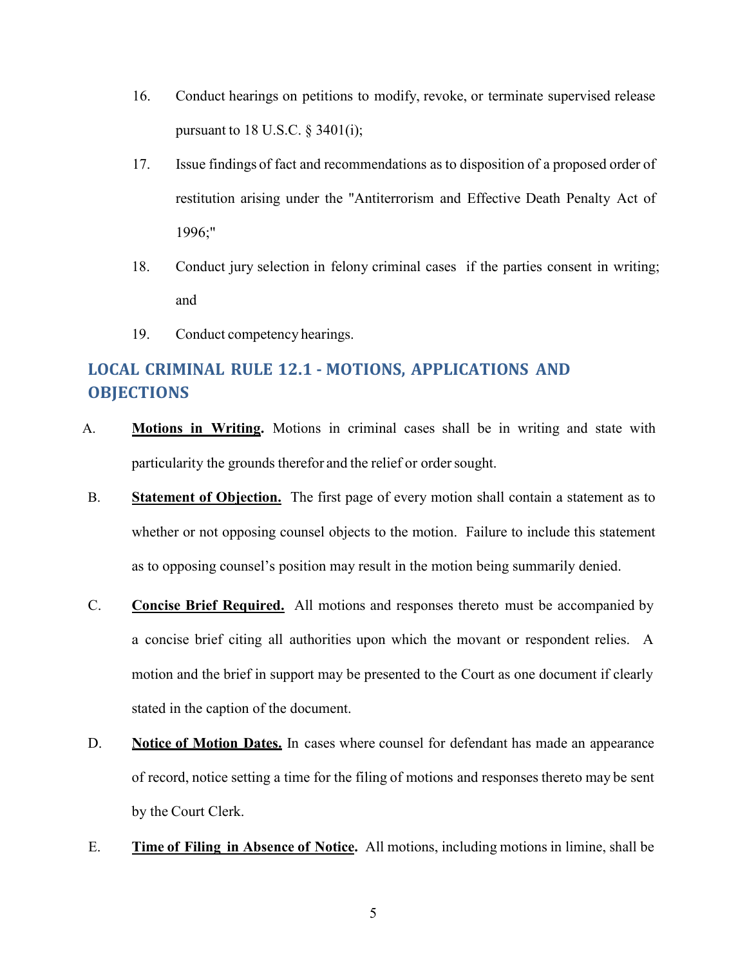- 16. Conduct hearings on petitions to modify, revoke, or terminate supervised release pursuant to 18 U.S.C.  $\S$  3401(i);
- 17. Issue findings of fact and recommendations as to disposition of a proposed order of restitution arising under the "Antiterrorism and Effective Death Penalty Act of 1996;"
- 18. Conduct jury selection in felony criminal cases if the parties consent in writing; and
- 19. Conduct competency hearings.

# <span id="page-7-0"></span>**LOCAL CRIMINAL RULE 12.1 - MOTIONS, APPLICATIONS AND OBJECTIONS**

- A. **Motions in Writing.** Motions in criminal cases shall be in writing and state with particularity the grounds therefor and the relief or order sought.
- B. **Statement of Objection.** The first page of every motion shall contain a statement as to whether or not opposing counsel objects to the motion. Failure to include this statement as to opposing counsel's position may result in the motion being summarily denied.
- C. **Concise Brief Required.** All motions and responses thereto must be accompanied by a concise brief citing all authorities upon which the movant or respondent relies. A motion and the brief in support may be presented to the Court as one document if clearly stated in the caption of the document.
- D. **Notice of Motion Dates.** In cases where counsel for defendant has made an appearance of record, notice setting a time for the filing of motions and responses thereto may be sent by the Court Clerk.
- E. **Time of Filing in Absence of Notice.** All motions, including motions in limine, shall be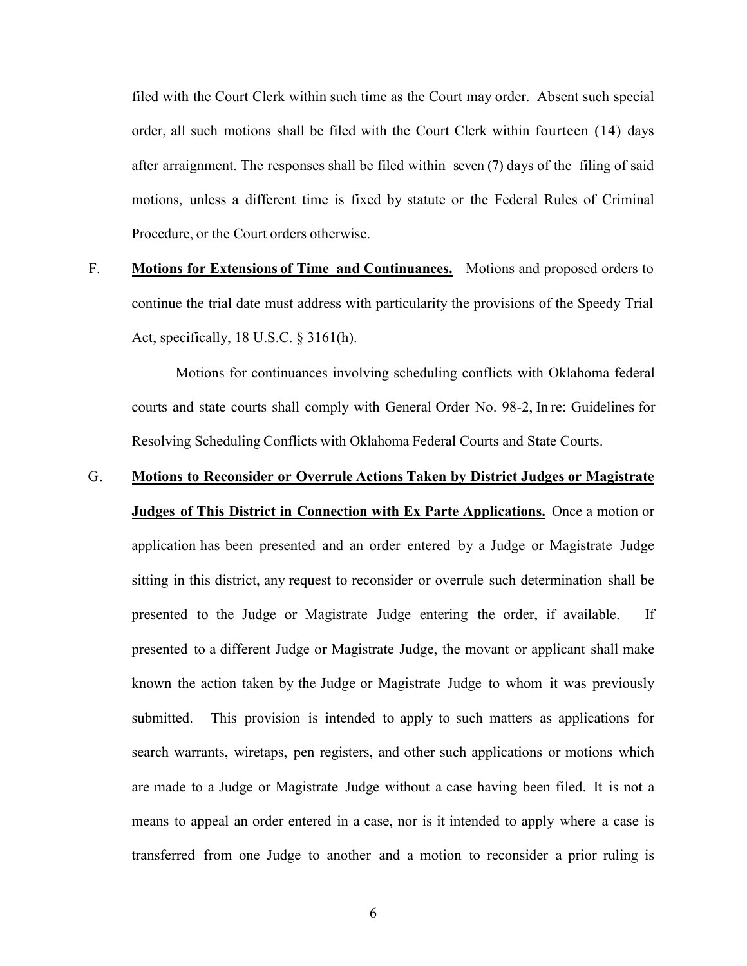filed with the Court Clerk within such time as the Court may order. Absent such special order, all such motions shall be filed with the Court Clerk within fourteen (14) days after arraignment. The responses shall be filed within seven (7) days of the filing of said motions, unless a different time is fixed by statute or the Federal Rules of Criminal Procedure, or the Court orders otherwise.

F. **Motions for Extensions of Time and Continuances.** Motions and proposed orders to continue the trial date must address with particularity the provisions of the Speedy Trial Act, specifically, 18 U.S.C. § 3161(h).

 Motions for continuances involving scheduling conflicts with Oklahoma federal courts and state courts shall comply with General Order No. 98-2, In re: Guidelines for Resolving Scheduling Conflicts with Oklahoma Federal Courts and State Courts.

### G. **Motions to Reconsider or Overrule Actions Taken by District Judges or Magistrate**

**Judges of This District in Connection with Ex Parte Applications.** Once a motion or application has been presented and an order entered by a Judge or Magistrate Judge sitting in this district, any request to reconsider or overrule such determination shall be presented to the Judge or Magistrate Judge entering the order, if available. If presented to a different Judge or Magistrate Judge, the movant or applicant shall make known the action taken by the Judge or Magistrate Judge to whom it was previously submitted. This provision is intended to apply to such matters as applications for search warrants, wiretaps, pen registers, and other such applications or motions which are made to a Judge or Magistrate Judge without a case having been filed. It is not a means to appeal an order entered in a case, nor is it intended to apply where a case is transferred from one Judge to another and a motion to reconsider a prior ruling is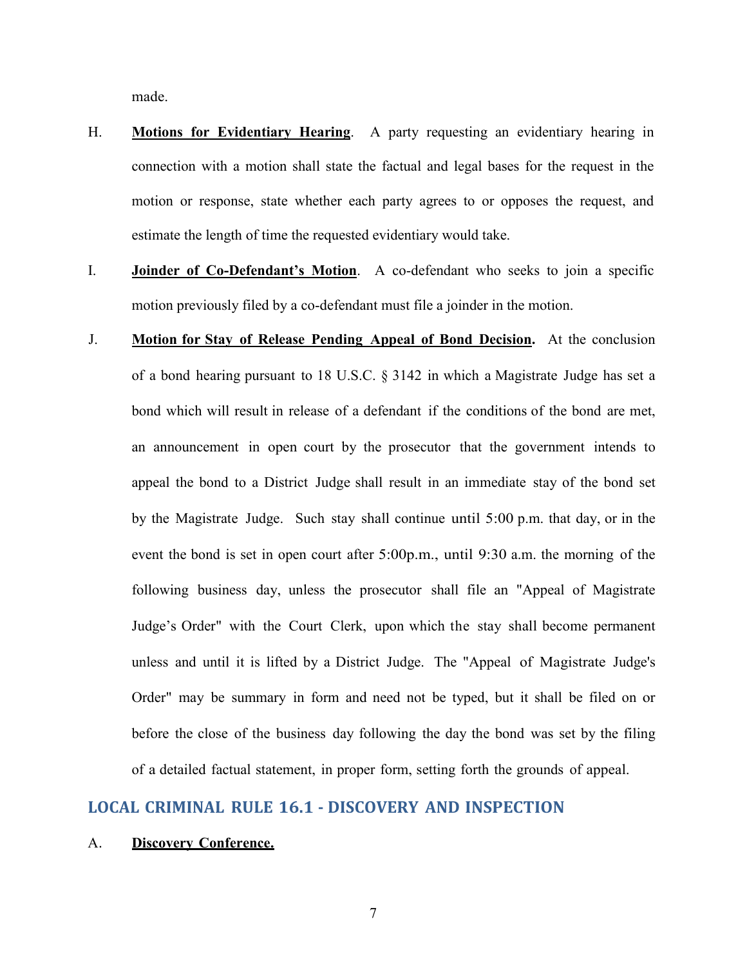made.

- H. **Motions for Evidentiary Hearing**. A party requesting an evidentiary hearing in connection with a motion shall state the factual and legal bases for the request in the motion or response, state whether each party agrees to or opposes the request, and estimate the length of time the requested evidentiary would take.
- I. **Joinder of Co-Defendant's Motion**. A co-defendant who seeks to join a specific motion previously filed by a co-defendant must file a joinder in the motion.
- J. **Motion for Stay of Release Pending Appeal of Bond Decision.** At the conclusion of a bond hearing pursuant to 18 U.S.C. § 3142 in which a Magistrate Judge has set a bond which will result in release of a defendant if the conditions of the bond are met, an announcement in open court by the prosecutor that the government intends to appeal the bond to a District Judge shall result in an immediate stay of the bond set by the Magistrate Judge. Such stay shall continue until 5:00 p.m. that day, or in the event the bond is set in open court after 5:00p.m., until 9:30 a.m. the morning of the following business day, unless the prosecutor shall file an "Appeal of Magistrate Judge's Order" with the Court Clerk, upon which the stay shall become permanent unless and until it is lifted by a District Judge. The "Appeal of Magistrate Judge's Order" may be summary in form and need not be typed, but it shall be filed on or before the close of the business day following the day the bond was set by the filing of a detailed factual statement, in proper form, setting forth the grounds of appeal.

### <span id="page-9-0"></span>**LOCAL CRIMINAL RULE 16.1 - DISCOVERY AND INSPECTION**

#### A. **Discovery Conference.**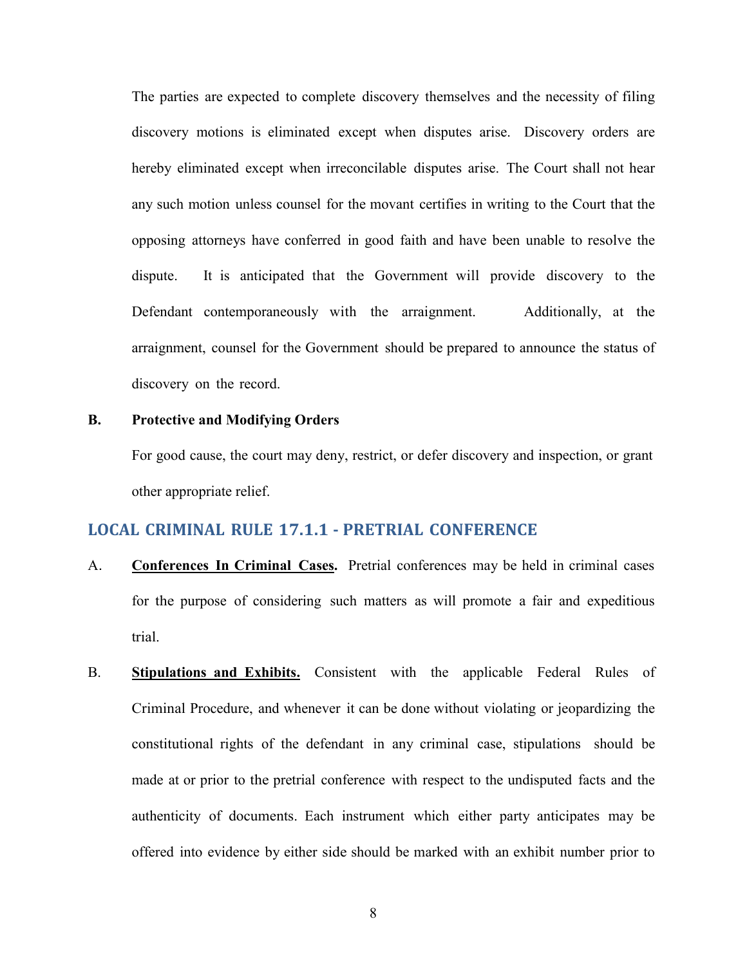The parties are expected to complete discovery themselves and the necessity of filing discovery motions is eliminated except when disputes arise. Discovery orders are hereby eliminated except when irreconcilable disputes arise. The Court shall not hear any such motion unless counsel for the movant certifies in writing to the Court that the opposing attorneys have conferred in good faith and have been unable to resolve the dispute. It is anticipated that the Government will provide discovery to the Defendant contemporaneously with the arraignment. Additionally, at the arraignment, counsel for the Government should be prepared to announce the status of discovery on the record.

#### **B. Protective and Modifying Orders**

For good cause, the court may deny, restrict, or defer discovery and inspection, or grant other appropriate relief.

### <span id="page-10-0"></span>**LOCAL CRIMINAL RULE 17.1.1 - PRETRIAL CONFERENCE**

- A. **Conferences In Criminal Cases.** Pretrial conferences may be held in criminal cases for the purpose of considering such matters as will promote a fair and expeditious trial.
- B. **Stipulations and Exhibits.** Consistent with the applicable Federal Rules of Criminal Procedure, and whenever it can be done without violating or jeopardizing the constitutional rights of the defendant in any criminal case, stipulations should be made at or prior to the pretrial conference with respect to the undisputed facts and the authenticity of documents. Each instrument which either party anticipates may be offered into evidence by either side should be marked with an exhibit number prior to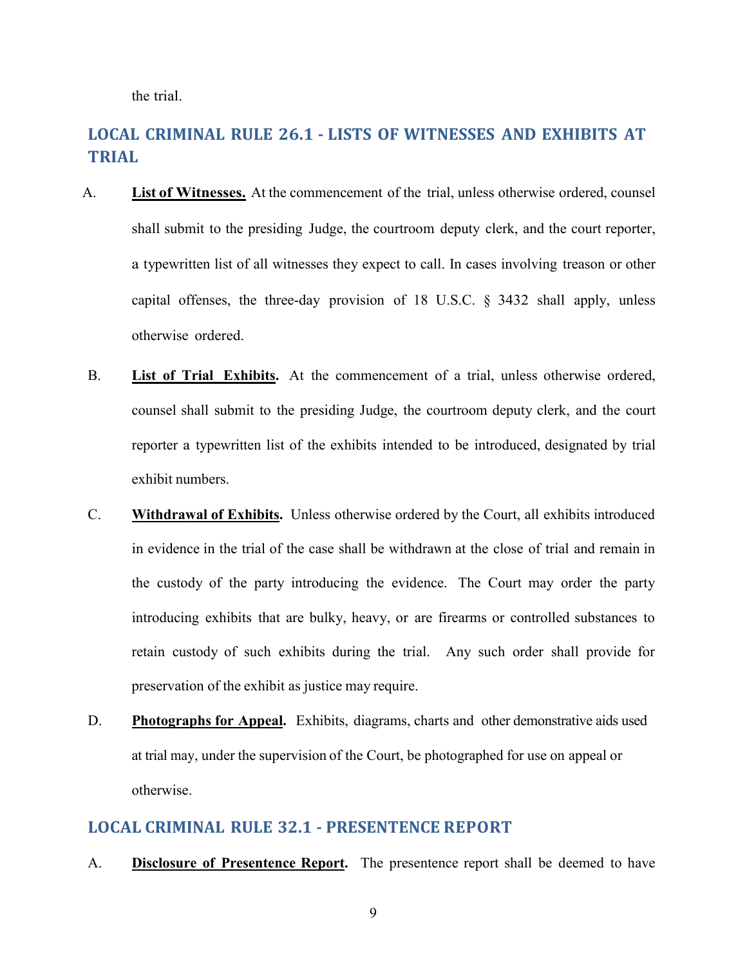the trial.

# <span id="page-11-0"></span>**LOCAL CRIMINAL RULE 26.1 - LISTS OF WITNESSES AND EXHIBITS AT TRIAL**

- A. **List of Witnesses.** At the commencement of the trial, unless otherwise ordered, counsel shall submit to the presiding Judge, the courtroom deputy clerk, and the court reporter, a typewritten list of all witnesses they expect to call. In cases involving treason or other capital offenses, the three-day provision of 18 U.S.C. § 3432 shall apply, unless otherwise ordered.
- B. **List of Trial Exhibits.** At the commencement of a trial, unless otherwise ordered, counsel shall submit to the presiding Judge, the courtroom deputy clerk, and the court reporter a typewritten list of the exhibits intended to be introduced, designated by trial exhibit numbers.
- C. **Withdrawal of Exhibits.** Unless otherwise ordered by the Court, all exhibits introduced in evidence in the trial of the case shall be withdrawn at the close of trial and remain in the custody of the party introducing the evidence. The Court may order the party introducing exhibits that are bulky, heavy, or are firearms or controlled substances to retain custody of such exhibits during the trial. Any such order shall provide for preservation of the exhibit as justice may require.
- D. **Photographs for Appeal.** Exhibits, diagrams, charts and other demonstrative aids used at trial may, under the supervision of the Court, be photographed for use on appeal or otherwise.

### <span id="page-11-1"></span>**LOCAL CRIMINAL RULE 32.1 - PRESENTENCE REPORT**

A. **Disclosure of Presentence Report.** The presentence report shall be deemed to have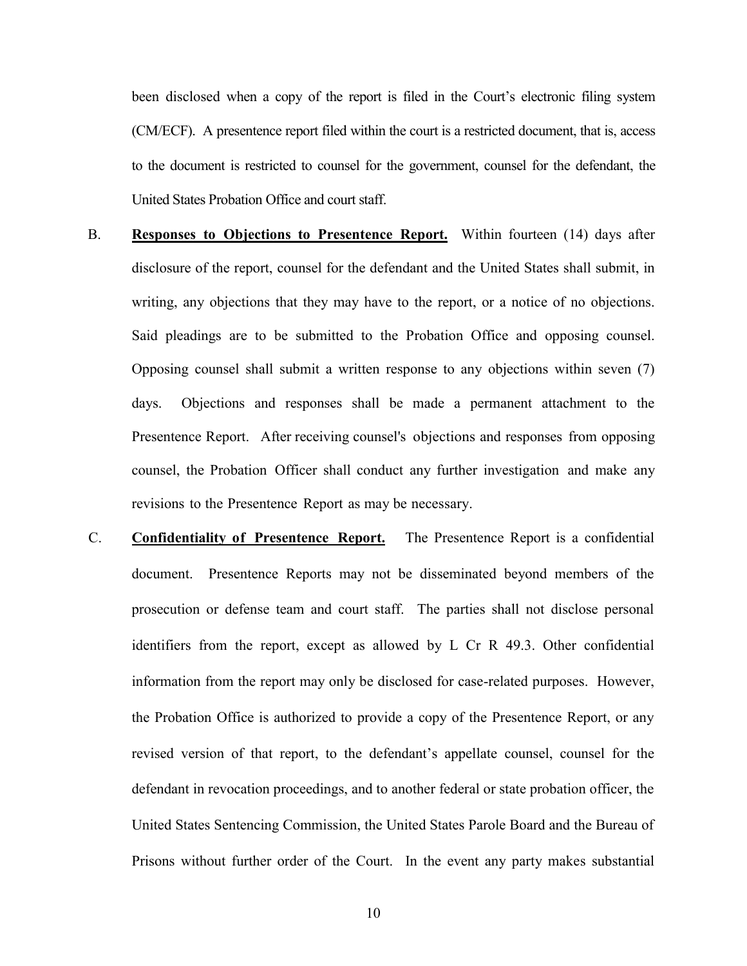been disclosed when a copy of the report is filed in the Court's electronic filing system (CM/ECF). A presentence report filed within the court is a restricted document, that is, access to the document is restricted to counsel for the government, counsel for the defendant, the United States Probation Office and court staff.

- B. **Responses to Objections to Presentence Report.** Within fourteen (14) days after disclosure of the report, counsel for the defendant and the United States shall submit, in writing, any objections that they may have to the report, or a notice of no objections. Said pleadings are to be submitted to the Probation Office and opposing counsel. Opposing counsel shall submit a written response to any objections within seven (7) days. Objections and responses shall be made a permanent attachment to the Presentence Report. After receiving counsel's objections and responses from opposing counsel, the Probation Officer shall conduct any further investigation and make any revisions to the Presentence Report as may be necessary.
- C. **Confidentiality of Presentence Report.** The Presentence Report is a confidential document. Presentence Reports may not be disseminated beyond members of the prosecution or defense team and court staff. The parties shall not disclose personal identifiers from the report, except as allowed by L Cr R 49.3. Other confidential information from the report may only be disclosed for case-related purposes. However, the Probation Office is authorized to provide a copy of the Presentence Report, or any revised version of that report, to the defendant's appellate counsel, counsel for the defendant in revocation proceedings, and to another federal or state probation officer, the United States Sentencing Commission, the United States Parole Board and the Bureau of Prisons without further order of the Court. In the event any party makes substantial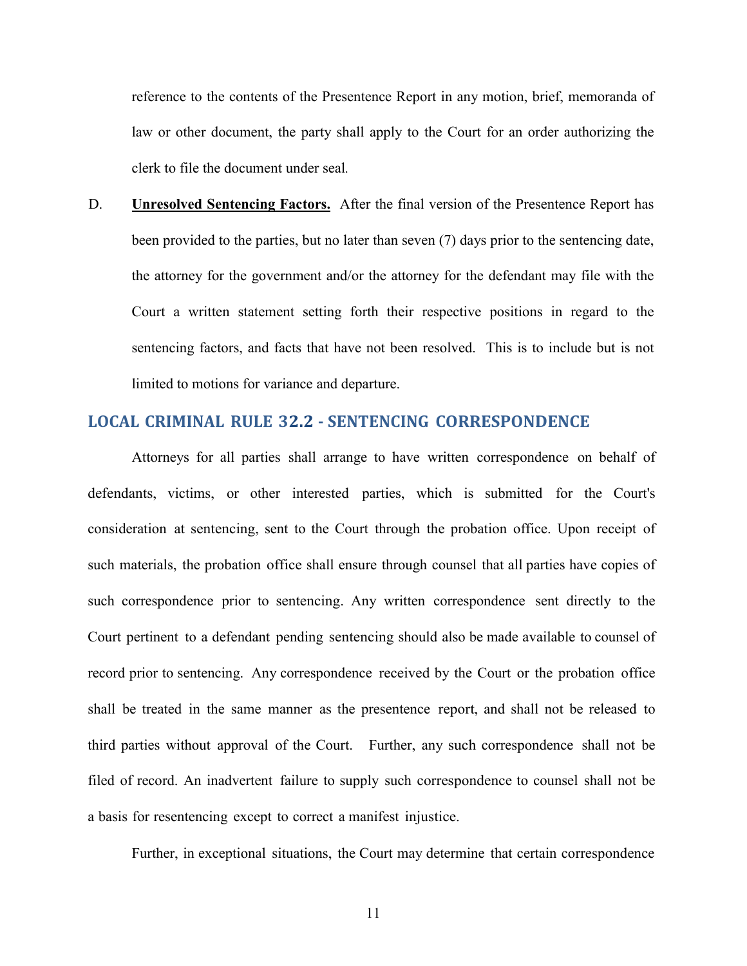reference to the contents of the Presentence Report in any motion, brief, memoranda of law or other document, the party shall apply to the Court for an order authorizing the clerk to file the document under seal*.*

D. **Unresolved Sentencing Factors.** After the final version of the Presentence Report has been provided to the parties, but no later than seven (7) days prior to the sentencing date, the attorney for the government and/or the attorney for the defendant may file with the Court a written statement setting forth their respective positions in regard to the sentencing factors, and facts that have not been resolved. This is to include but is not limited to motions for variance and departure.

### <span id="page-13-0"></span>**LOCAL CRIMINAL RULE 32.2 - SENTENCING CORRESPONDENCE**

Attorneys for all parties shall arrange to have written correspondence on behalf of defendants, victims, or other interested parties, which is submitted for the Court's consideration at sentencing, sent to the Court through the probation office. Upon receipt of such materials, the probation office shall ensure through counsel that all parties have copies of such correspondence prior to sentencing. Any written correspondence sent directly to the Court pertinent to a defendant pending sentencing should also be made available to counsel of record prior to sentencing. Any correspondence received by the Court or the probation office shall be treated in the same manner as the presentence report, and shall not be released to third parties without approval of the Court. Further, any such correspondence shall not be filed of record. An inadvertent failure to supply such correspondence to counsel shall not be a basis for resentencing except to correct a manifest injustice.

Further, in exceptional situations, the Court may determine that certain correspondence

11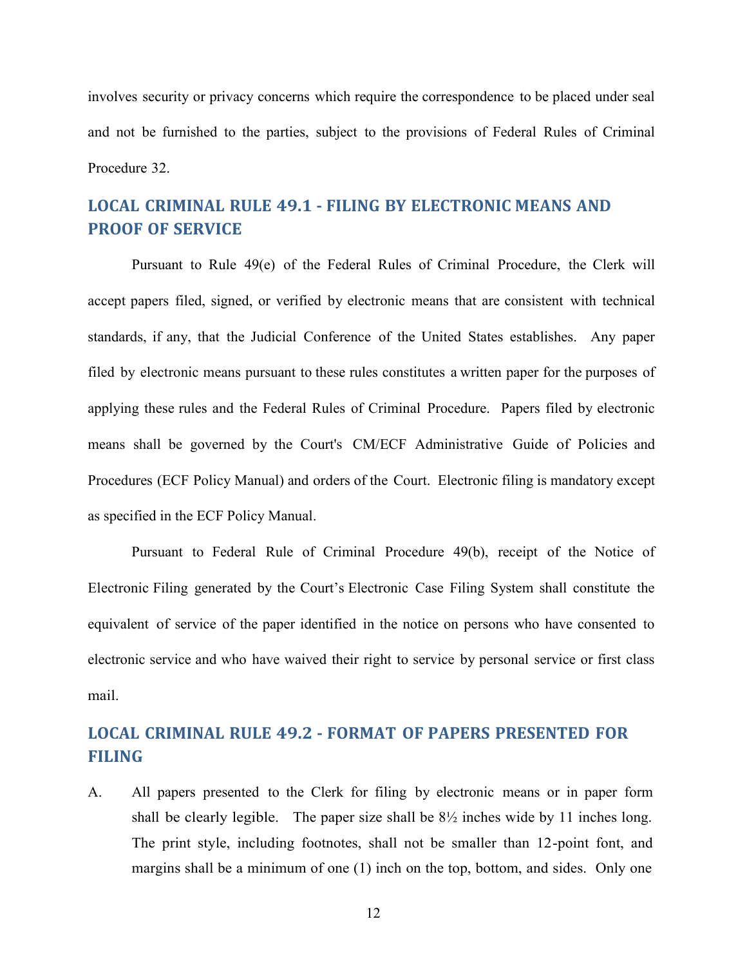involves security or privacy concerns which require the correspondence to be placed under seal and not be furnished to the parties, subject to the provisions of Federal Rules of Criminal Procedure 32.

# <span id="page-14-0"></span>**LOCAL CRIMINAL RULE 49.1 - FILING BY ELECTRONIC MEANS AND PROOF OF SERVICE**

Pursuant to Rule 49(e) of the Federal Rules of Criminal Procedure, the Clerk will accept papers filed, signed, or verified by electronic means that are consistent with technical standards, if any, that the Judicial Conference of the United States establishes. Any paper filed by electronic means pursuant to these rules constitutes a written paper for the purposes of applying these rules and the Federal Rules of Criminal Procedure. Papers filed by electronic means shall be governed by the Court's CM/ECF Administrative Guide of Policies and Procedures (ECF Policy Manual) and orders of the Court. Electronic filing is mandatory except as specified in the ECF Policy Manual.

Pursuant to Federal Rule of Criminal Procedure 49(b), receipt of the Notice of Electronic Filing generated by the Court's Electronic Case Filing System shall constitute the equivalent of service of the paper identified in the notice on persons who have consented to electronic service and who have waived their right to service by personal service or first class mail.

# <span id="page-14-1"></span>**LOCAL CRIMINAL RULE 49.2 - FORMAT OF PAPERS PRESENTED FOR FILING**

A. All papers presented to the Clerk for filing by electronic means or in paper form shall be clearly legible. The paper size shall be  $8\frac{1}{2}$  inches wide by 11 inches long. The print style, including footnotes, shall not be smaller than 12-point font, and margins shall be a minimum of one (1) inch on the top, bottom, and sides. Only one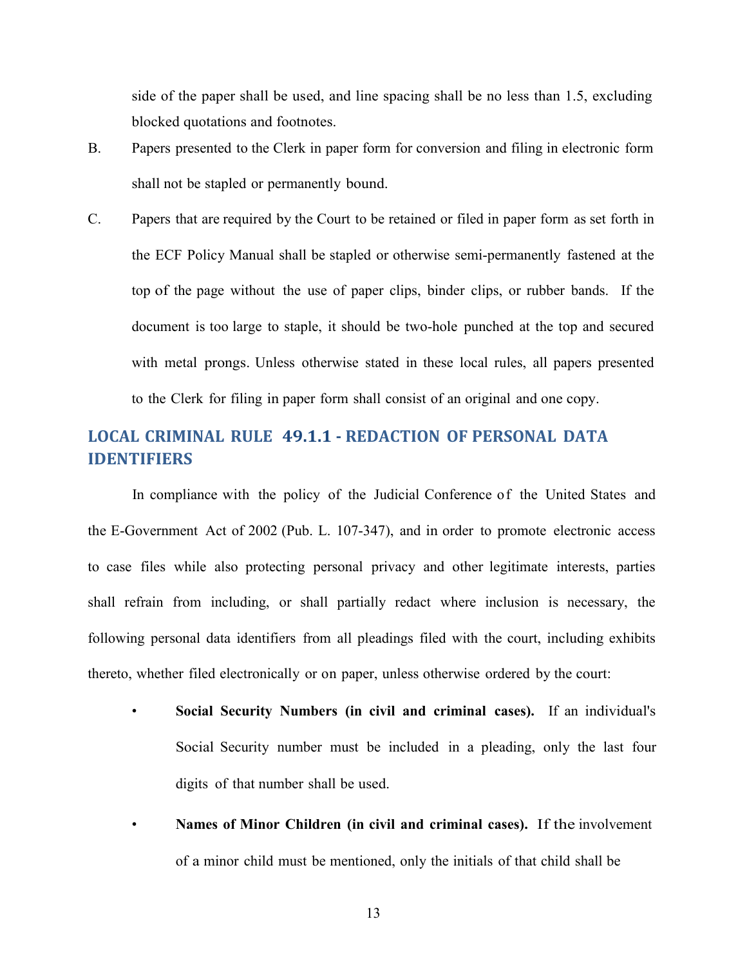side of the paper shall be used, and line spacing shall be no less than 1.5, excluding blocked quotations and footnotes.

- B. Papers presented to the Clerk in paper form for conversion and filing in electronic form shall not be stapled or permanently bound.
- C. Papers that are required by the Court to be retained or filed in paper form as set forth in the ECF Policy Manual shall be stapled or otherwise semi-permanently fastened at the top of the page without the use of paper clips, binder clips, or rubber bands. If the document is too large to staple, it should be two-hole punched at the top and secured with metal prongs. Unless otherwise stated in these local rules, all papers presented to the Clerk for filing in paper form shall consist of an original and one copy.

# <span id="page-15-0"></span>**LOCAL CRIMINAL RULE 49.1.1 - REDACTION OF PERSONAL DATA IDENTIFIERS**

In compliance with the policy of the Judicial Conference of the United States and the E-Government Act of 2002 (Pub. L. 107-347), and in order to promote electronic access to case files while also protecting personal privacy and other legitimate interests, parties shall refrain from including, or shall partially redact where inclusion is necessary, the following personal data identifiers from all pleadings filed with the court, including exhibits thereto, whether filed electronically or on paper, unless otherwise ordered by the court:

- **Social Security Numbers (in civil and criminal cases).** If an individual's Social Security number must be included in a pleading, only the last four digits of that number shall be used.
- **Names of Minor Children (in civil and criminal cases).** If the involvement of a minor child must be mentioned, only the initials of that child shall be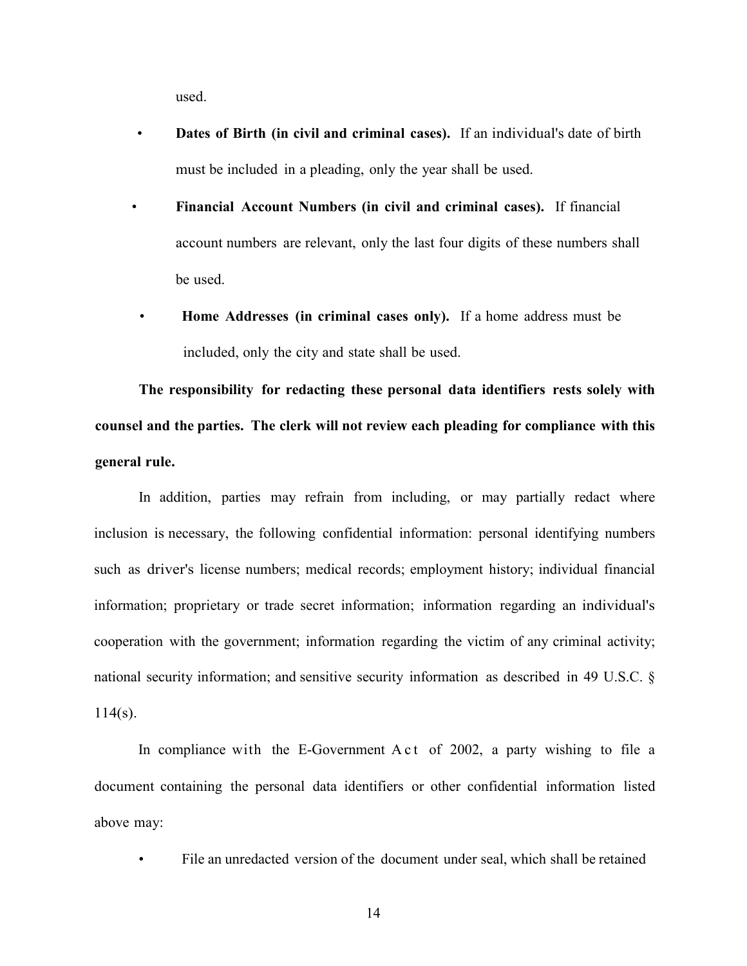used.

- **Dates of Birth (in civil and criminal cases).** If an individual's date of birth must be included in a pleading, only the year shall be used.
- **Financial Account Numbers (in civil and criminal cases).** If financial account numbers are relevant, only the last four digits of these numbers shall be used.
- **Home Addresses (in criminal cases only).** If a home address must be included, only the city and state shall be used.

**The responsibility for redacting these personal data identifiers rests solely with counsel and the parties. The clerk will not review each pleading for compliance with this general rule.**

In addition, parties may refrain from including, or may partially redact where inclusion is necessary, the following confidential information: personal identifying numbers such as driver's license numbers; medical records; employment history; individual financial information; proprietary or trade secret information; information regarding an individual's cooperation with the government; information regarding the victim of any criminal activity; national security information; and sensitive security information as described in 49 U.S.C. §  $114(s)$ .

In compliance with the E-Government A c t of 2002, a party wishing to file a document containing the personal data identifiers or other confidential information listed above may:

• File an unredacted version of the document under seal, which shall be retained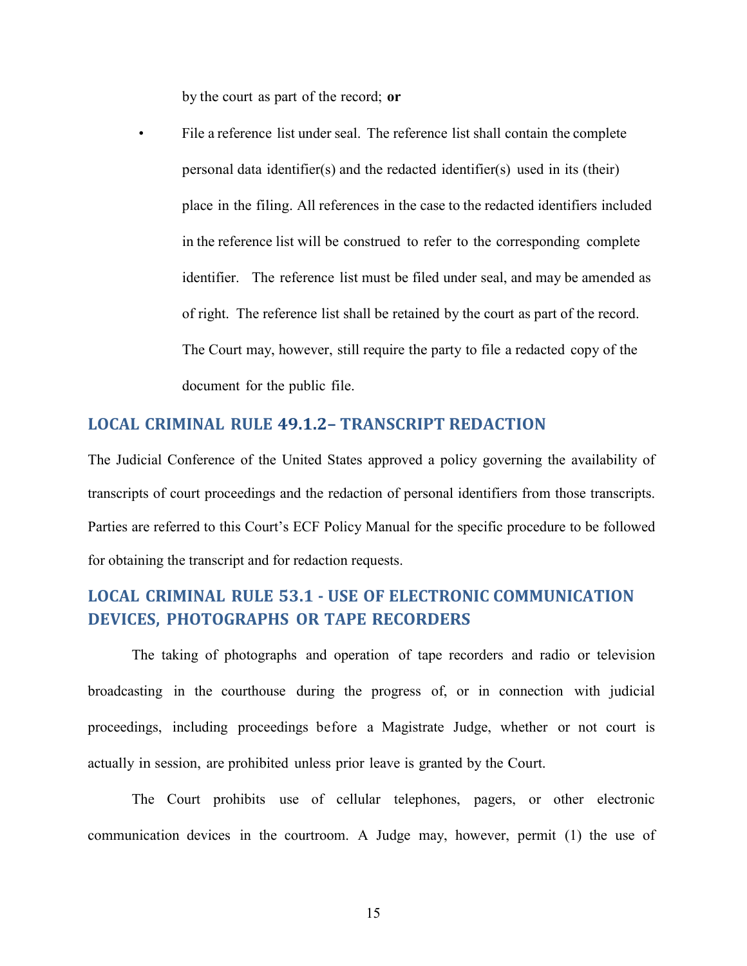by the court as part of the record; **or**

File a reference list under seal. The reference list shall contain the complete personal data identifier(s) and the redacted identifier(s) used in its (their) place in the filing. All references in the case to the redacted identifiers included in the reference list will be construed to refer to the corresponding complete identifier. The reference list must be filed under seal, and may be amended as of right. The reference list shall be retained by the court as part of the record. The Court may, however, still require the party to file a redacted copy of the document for the public file.

### <span id="page-17-0"></span>**LOCAL CRIMINAL RULE 49.1.2– TRANSCRIPT REDACTION**

The Judicial Conference of the United States approved a policy governing the availability of transcripts of court proceedings and the redaction of personal identifiers from those transcripts. Parties are referred to this Court's ECF Policy Manual for the specific procedure to be followed for obtaining the transcript and for redaction requests.

# <span id="page-17-1"></span>**LOCAL CRIMINAL RULE 53.1 - USE OF ELECTRONIC COMMUNICATION DEVICES, PHOTOGRAPHS OR TAPE RECORDERS**

The taking of photographs and operation of tape recorders and radio or television broadcasting in the courthouse during the progress of, or in connection with judicial proceedings, including proceedings before a Magistrate Judge, whether or not court is actually in session, are prohibited unless prior leave is granted by the Court.

The Court prohibits use of cellular telephones, pagers, or other electronic communication devices in the courtroom. A Judge may, however, permit (1) the use of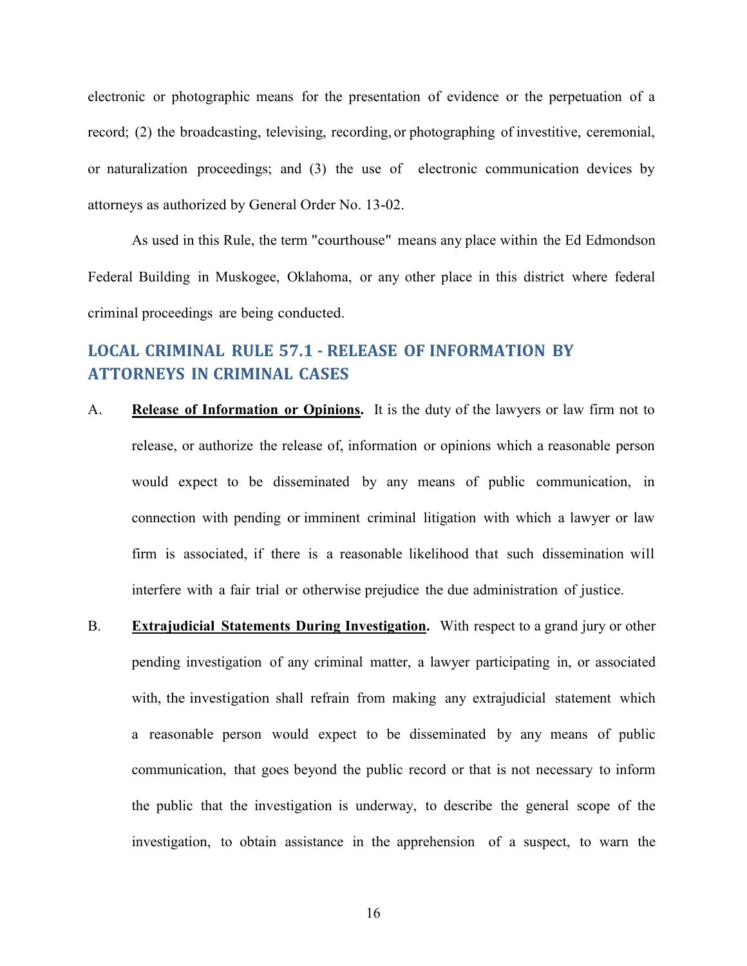electronic or photographic means for the presentation of evidence or the perpetuation of a record; (2) the broadcasting, televising, recording, or photographing of investitive, ceremonial, or naturalization proceedings; and (3) the use of electronic communication devices by attorneys as authorized by General Order No. 13-02.

As used in this Rule, the term "courthouse" means any place within the Ed Edmondson Federal Building in Muskogee, Oklahoma, or any other place in this district where federal criminal proceedings are being conducted.

# <span id="page-18-0"></span>**LOCAL CRIMINAL RULE 57.1 - RELEASE OF INFORMATION BY ATTORNEYS IN CRIMINAL CASES**

- A. **Release of Information or Opinions.** It is the duty of the lawyers or law firm not to release, or authorize the release of, information or opinions which a reasonable person would expect to be disseminated by any means of public communication, in connection with pending or imminent criminal litigation with which a lawyer or law firm is associated, if there is a reasonable likelihood that such dissemination will interfere with a fair trial or otherwise prejudice the due administration of justice.
- B. **Extrajudicial Statements During Investigation.** With respect to a grand jury or other pending investigation of any criminal matter, a lawyer participating in, or associated with, the investigation shall refrain from making any extrajudicial statement which a reasonable person would expect to be disseminated by any means of public communication, that goes beyond the public record or that is not necessary to inform the public that the investigation is underway, to describe the general scope of the investigation, to obtain assistance in the apprehension of a suspect, to warn the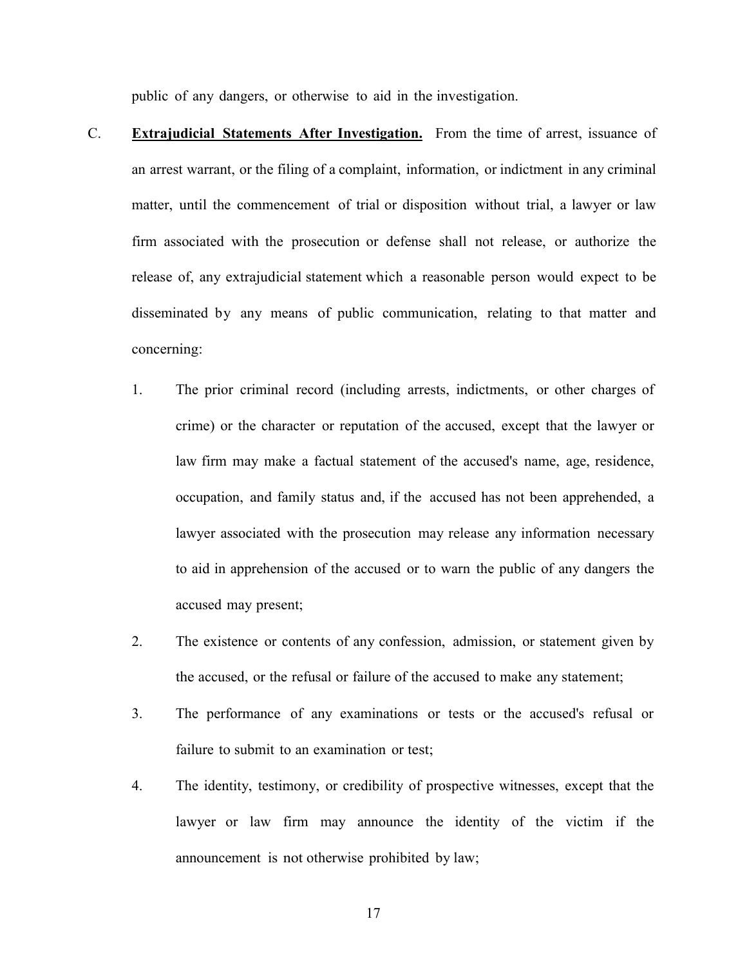public of any dangers, or otherwise to aid in the investigation.

- C. **Extrajudicial Statements After Investigation.** From the time of arrest, issuance of an arrest warrant, or the filing of a complaint, information, or indictment in any criminal matter, until the commencement of trial or disposition without trial, a lawyer or law firm associated with the prosecution or defense shall not release, or authorize the release of, any extrajudicial statement which a reasonable person would expect to be disseminated by any means of public communication, relating to that matter and concerning:
	- 1. The prior criminal record (including arrests, indictments, or other charges of crime) or the character or reputation of the accused, except that the lawyer or law firm may make a factual statement of the accused's name, age, residence, occupation, and family status and, if the accused has not been apprehended, a lawyer associated with the prosecution may release any information necessary to aid in apprehension of the accused or to warn the public of any dangers the accused may present;
	- 2. The existence or contents of any confession, admission, or statement given by the accused, or the refusal or failure of the accused to make any statement;
	- 3. The performance of any examinations or tests or the accused's refusal or failure to submit to an examination or test;
	- 4. The identity, testimony, or credibility of prospective witnesses, except that the lawyer or law firm may announce the identity of the victim if the announcement is not otherwise prohibited by law;
		- 17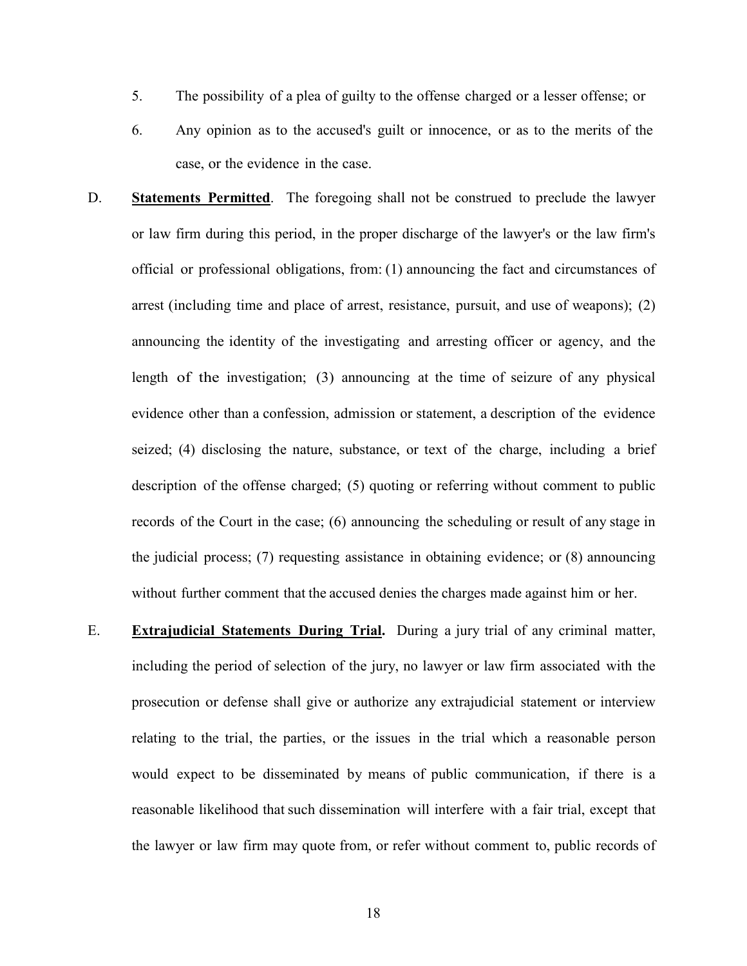- 5. The possibility of a plea of guilty to the offense charged or a lesser offense; or
- 6. Any opinion as to the accused's guilt or innocence, or as to the merits of the case, or the evidence in the case.
- D. **Statements Permitted**. The foregoing shall not be construed to preclude the lawyer or law firm during this period, in the proper discharge of the lawyer's or the law firm's official or professional obligations, from: (1) announcing the fact and circumstances of arrest (including time and place of arrest, resistance, pursuit, and use of weapons); (2) announcing the identity of the investigating and arresting officer or agency, and the length of the investigation; (3) announcing at the time of seizure of any physical evidence other than a confession, admission or statement, a description of the evidence seized; (4) disclosing the nature, substance, or text of the charge, including a brief description of the offense charged; (5) quoting or referring without comment to public records of the Court in the case; (6) announcing the scheduling or result of any stage in the judicial process; (7) requesting assistance in obtaining evidence; or (8) announcing without further comment that the accused denies the charges made against him or her.
- E. **Extrajudicial Statements During Trial.** During a jury trial of any criminal matter, including the period of selection of the jury, no lawyer or law firm associated with the prosecution or defense shall give or authorize any extrajudicial statement or interview relating to the trial, the parties, or the issues in the trial which a reasonable person would expect to be disseminated by means of public communication, if there is a reasonable likelihood that such dissemination will interfere with a fair trial, except that the lawyer or law firm may quote from, or refer without comment to, public records of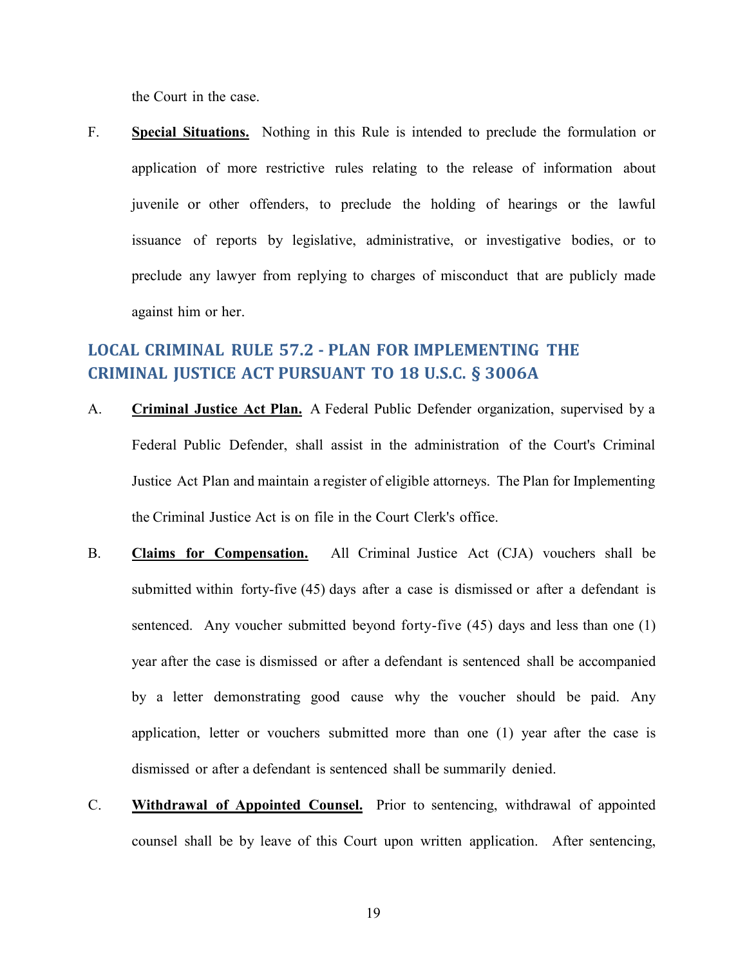the Court in the case.

F. **Special Situations.** Nothing in this Rule is intended to preclude the formulation or application of more restrictive rules relating to the release of information about juvenile or other offenders, to preclude the holding of hearings or the lawful issuance of reports by legislative, administrative, or investigative bodies, or to preclude any lawyer from replying to charges of misconduct that are publicly made against him or her.

# <span id="page-21-0"></span>**LOCAL CRIMINAL RULE 57.2 - PLAN FOR IMPLEMENTING THE CRIMINAL JUSTICE ACT PURSUANT TO 18 U.S.C. § 3006A**

- A. **Criminal Justice Act Plan.** A Federal Public Defender organization, supervised by a Federal Public Defender, shall assist in the administration of the Court's Criminal Justice Act Plan and maintain a register of eligible attorneys. The Plan for Implementing the Criminal Justice Act is on file in the Court Clerk's office.
- B. **Claims for Compensation.** All Criminal Justice Act (CJA) vouchers shall be submitted within forty-five (45) days after a case is dismissed or after a defendant is sentenced. Any voucher submitted beyond forty-five (45) days and less than one (1) year after the case is dismissed or after a defendant is sentenced shall be accompanied by a letter demonstrating good cause why the voucher should be paid. Any application, letter or vouchers submitted more than one (1) year after the case is dismissed or after a defendant is sentenced shall be summarily denied.
- C. **Withdrawal of Appointed Counsel.** Prior to sentencing, withdrawal of appointed counsel shall be by leave of this Court upon written application. After sentencing,